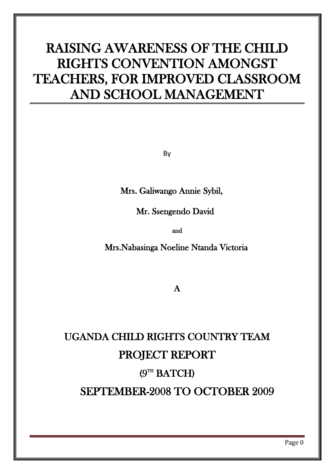# RAISING AWARENESS OF THE CHILD RIGHTS CONVENTION AMONGST TEACHERS, FOR IMPROVED CLASSROOM AND SCHOOL MANAGEMENT

By

Mrs. Galiwango Annie Sybil,

Mr. Ssengendo David

and

Mrs.Nabasinga Noeline Ntanda Victoria

A

# UGANDA CHILD RIGHTS COUNTRY TEAM PROJECT REPORT  $(9<sup>TH</sup> BATCH)$ SEPTEMBER-2008 TO OCTOBER 2009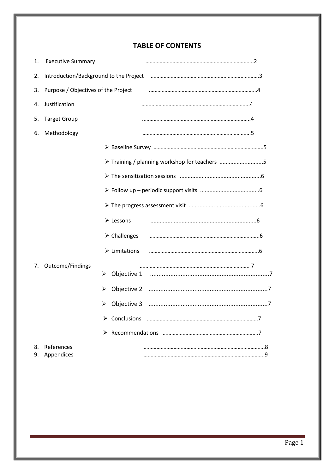# **TABLE OF CONTENTS**

| 1. | <b>Executive Summary</b>            |                                               |
|----|-------------------------------------|-----------------------------------------------|
| 2. |                                     |                                               |
| 3. | Purpose / Objectives of the Project |                                               |
| 4. | Justification                       |                                               |
| 5. | <b>Target Group</b>                 |                                               |
| 6. | Methodology                         |                                               |
|    |                                     |                                               |
|    |                                     | > Training / planning workshop for teachers 5 |
|    |                                     |                                               |
|    |                                     |                                               |
|    |                                     |                                               |
|    |                                     | > Lessons                                     |
|    |                                     | $\triangleright$ Challenges                   |
|    |                                     | $\triangleright$ Limitations                  |
| 7. | Outcome/Findings                    | ➤                                             |
|    |                                     |                                               |
|    |                                     |                                               |
|    |                                     |                                               |
|    |                                     |                                               |
| 8. | References<br>9. Appendices         |                                               |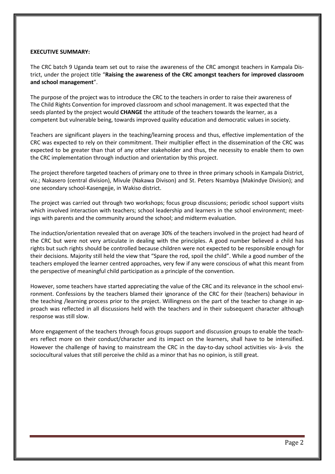#### **EXECUTIVE SUMMARY:**

The CRC batch 9 Uganda team set out to raise the awareness of the CRC amongst teachers in Kampala District, under the project title "**Raising the awareness of the CRC amongst teachers for improved classroom and school management**".

The purpose of the project was to introduce the CRC to the teachers in order to raise their awareness of The Child Rights Convention for improved classroom and school management. It was expected that the seeds planted by the project would **CHANGE** the attitude of the teachers towards the learner, as a competent but vulnerable being, towards improved quality education and democratic values in society.

Teachers are significant players in the teaching/learning process and thus, effective implementation of the CRC was expected to rely on their commitment. Their multiplier effect in the dissemination of the CRC was expected to be greater than that of any other stakeholder and thus, the necessity to enable them to own the CRC implementation through induction and orientation by this project.

The project therefore targeted teachers of primary one to three in three primary schools in Kampala District, viz.; Nakasero (central division), Mivule (Nakawa Divison) and St. Peters Nsambya (Makindye Division); and one secondary school-Kasengejje, in Wakiso district.

The project was carried out through two workshops; focus group discussions; periodic school support visits which involved interaction with teachers; school leadership and learners in the school environment; meetings with parents and the community around the school; and midterm evaluation.

The induction/orientation revealed that on average 30% of the teachers involved in the project had heard of the CRC but were not very articulate in dealing with the principles. A good number believed a child has rights but such rights should be controlled because children were not expected to be responsible enough for their decisions. Majority still held the view that "Spare the rod, spoil the child". While a good number of the teachers employed the learner centred approaches, very few if any were conscious of what this meant from the perspective of meaningful child participation as a principle of the convention.

However, some teachers have started appreciating the value of the CRC and its relevance in the school environment. Confessions by the teachers blamed their ignorance of the CRC for their (teachers) behaviour in the teaching /learning process prior to the project. Willingness on the part of the teacher to change in approach was reflected in all discussions held with the teachers and in their subsequent character although response was still slow.

More engagement of the teachers through focus groups support and discussion groups to enable the teachers reflect more on their conduct/character and its impact on the learners, shall have to be intensified. However the challenge of having to mainstream the CRC in the day-to-day school activities vis- à-vis the sociocultural values that still perceive the child as a minor that has no opinion, is still great.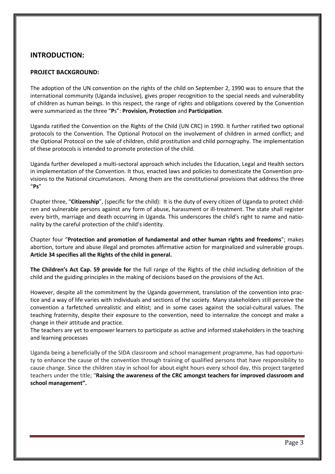# **INTRODUCTION:**

## **PROJECT BACKGROUND:**

The adoption of the UN convention on the rights of the child on September 2, 1990 was to ensure that the international community (Uganda inclusive), gives proper recognition to the special needs and vulnerability of children as human beings. In this respect, the range of rights and obligations covered by the Convention were summarized as the three "**P**s": **Provision, Protection** and **Participation**.

Uganda ratified the Convention on the Rights of the Child (UN CRC) in 1990. It further ratified two optional protocols to the Convention. The Optional Protocol on the involvement of children in armed conflict; and the Optional Protocol on the sale of children, child prostitution and child pornography. The implementation of these protocols is intended to promote protection of the child.

Uganda further developed a multi-sectoral approach which includes the Education, Legal and Health sectors in implementation of the Convention. It thus, enacted laws and policies to domesticate the Convention provisions to the National circumstances. Among them are the constitutional provisions that address the three "**Ps**"

Chapter three, "**Citizenship**", (specific for the child): It is the duty of every citizen of Uganda to protect children and vulnerable persons against any form of abuse, harassment or ill-treatment. The state shall register every birth, marriage and death occurring in Uganda. This underscores the child's right to name and nationality by the careful protection of the child's identity.

Chapter four "**Protection and promotion of fundamental and other human rights and freedoms**"; makes abortion, torture and abuse illegal and promotes affirmative action for marginalized and vulnerable groups. **Article 34 specifies all the Rights of the child in general.**

**The Children's Act Cap. 59 provide for** the full range of the Rights of the child including definition of the child and the guiding principles in the making of decisions based on the provisions of the Act.

However, despite all the commitment by the Uganda government, translation of the convention into practice and a way of life varies with individuals and sections of the society. Many stakeholders still perceive the convention a farfetched unrealistic and elitist; and in some cases against the social-cultural values. The teaching fraternity, despite their exposure to the convention, need to internalize the concept and make a change in their attitude and practice.

The teachers are yet to empower learners to participate as active and informed stakeholders in the teaching and learning processes

Uganda being a beneficially of the SIDA classroom and school management programme, has had opportunity to enhance the cause of the convention through training of qualified persons that have responsibility to cause change. Since the children stay in school for about eight hours every school day, this project targeted teachers under the title; "**Raising the awareness of the CRC amongst teachers for improved classroom and school management".**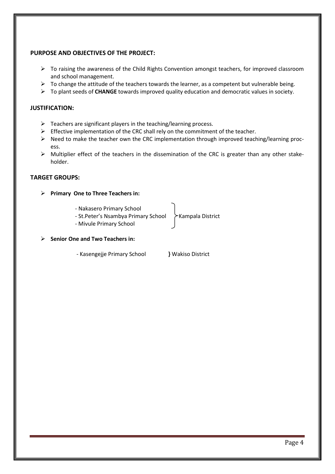## **PURPOSE AND OBJECTIVES OF THE PROJECT:**

- $\triangleright$  To raising the awareness of the Child Rights Convention amongst teachers, for improved classroom and school management.
- $\triangleright$  To change the attitude of the teachers towards the learner, as a competent but vulnerable being.
- To plant seeds of **CHANGE** towards improved quality education and democratic values in society.

## **JUSTIFICATION:**

- $\triangleright$  Teachers are significant players in the teaching/learning process.
- $\triangleright$  Effective implementation of the CRC shall rely on the commitment of the teacher.
- $\triangleright$  Need to make the teacher own the CRC implementation through improved teaching/learning process.
- $\triangleright$  Multiplier effect of the teachers in the dissemination of the CRC is greater than any other stakeholder.

## **TARGET GROUPS:**

- **Primary One to Three Teachers in:**
	- Nakasero Primary School
	- St.Peter's Nsambya Primary School > Kampala District
	- Mivule Primary School

## **Senior One and Two Teachers in:**

- Kasengejje Primary School **}** Wakiso District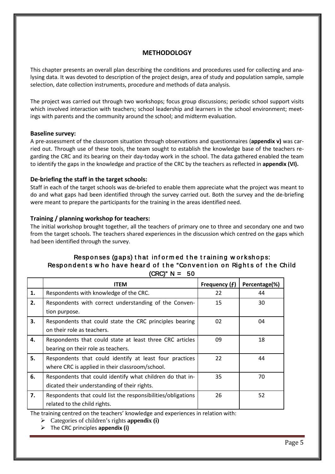# **METHODOLOGY**

This chapter presents an overall plan describing the conditions and procedures used for collecting and analysing data. It was devoted to description of the project design, area of study and population sample, sample selection, date collection instruments, procedure and methods of data analysis.

The project was carried out through two workshops; focus group discussions; periodic school support visits which involved interaction with teachers; school leadership and learners in the school environment; meetings with parents and the community around the school; and midterm evaluation.

## **Baseline survey:**

A pre-assessment of the classroom situation through observations and questionnaires (**appendix v)** was carried out. Through use of these tools, the team sought to establish the knowledge base of the teachers regarding the CRC and its bearing on their day-today work in the school. The data gathered enabled the team to identify the gaps in the knowledge and practice of the CRC by the teachers as reflected in **appendix (VI).**

## **De-briefing the staff in the target schools:**

Staff in each of the target schools was de-briefed to enable them appreciate what the project was meant to do and what gaps had been identified through the survey carried out. Both the survey and the de-briefing were meant to prepare the participants for the training in the areas identified need.

## **Training / planning workshop for teachers:**

The initial workshop brought together, all the teachers of primary one to three and secondary one and two from the target schools. The teachers shared experiences in the discussion which centred on the gaps which had been identified through the survey.

# Responses (gaps) that informed the training workshops: Respondents who have heard of the "Convention on Rights of the Child  $(CRC)" N = 50$

|    | <b>ITEM</b>                                                  | Frequency (f) | Percentage(%) |
|----|--------------------------------------------------------------|---------------|---------------|
| 1. | Respondents with knowledge of the CRC.                       | 22            | 44            |
| 2. | Respondents with correct understanding of the Conven-        | 15            | 30            |
|    | tion purpose.                                                |               |               |
| 3. | Respondents that could state the CRC principles bearing      | 02            | 04            |
|    | on their role as teachers.                                   |               |               |
| 4. | Respondents that could state at least three CRC articles     | 09            | 18            |
|    | bearing on their role as teachers.                           |               |               |
| 5. | Respondents that could identify at least four practices      | 22            | 44            |
|    | where CRC is applied in their classroom/school.              |               |               |
| 6. | Respondents that could identify what children do that in-    | 35            | 70            |
|    | dicated their understanding of their rights.                 |               |               |
| 7. | Respondents that could list the responsibilities/obligations | 26            | 52            |
|    | related to the child rights.                                 |               |               |

The training centred on the teachers' knowledge and experiences in relation with:

Categories of children's rights **appendix (i)**

The CRC principles **appendix (i)**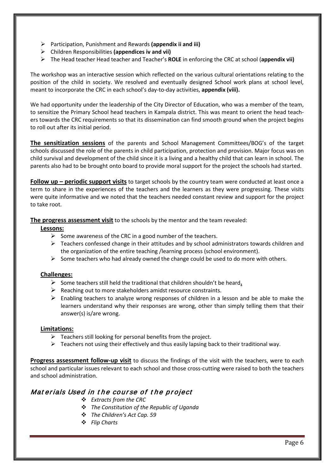- Participation, Punishment and Rewards **(appendix ii and iii)**
- Children Responsibilities **(appendices iv and vii)**
- The Head teacher Head teacher and Teacher's **ROLE** in enforcing the CRC at school (**appendix vii)**

The workshop was an interactive session which reflected on the various cultural orientations relating to the position of the child in society. We resolved and eventually designed School work plans at school level, meant to incorporate the CRC in each school's day-to-day activities, **appendix (viii).**

We had opportunity under the leadership of the City Director of Education, who was a member of the team, to sensitize the Primary School head teachers in Kampala district. This was meant to orient the head teachers towards the CRC requirements so that its dissemination can find smooth ground when the project begins to roll out after its initial period.

**The sensitization sessions** of the parents and School Management Committees/BOG's of the target schools discussed the role of the parents in child participation, protection and provision. Major focus was on child survival and development of the child since it is a living and a healthy child that can learn in school. The parents also had to be brought onto board to provide moral support for the project the schools had started.

**Follow up – periodic support visits** to target schools by the country team were conducted at least once a term to share in the experiences of the teachers and the learners as they were progressing. These visits were quite informative and we noted that the teachers needed constant review and support for the project to take root.

**The progress assessment visit** to the schools by the mentor and the team revealed:

## **Lessons:**

- $\triangleright$  Some awareness of the CRC in a good number of the teachers.
- $\triangleright$  Teachers confessed change in their attitudes and by school administrators towards children and the organization of the entire teaching /learning process (school environment).
- $\triangleright$  Some teachers who had already owned the change could be used to do more with others.

## **Challenges:**

- Some teachers still held the traditional that children shouldn't be heard.
- $\triangleright$  Reaching out to more stakeholders amidst resource constraints.
- $\triangleright$  Enabling teachers to analyze wrong responses of children in a lesson and be able to make the learners understand why their responses are wrong, other than simply telling them that their answer(s) is/are wrong.

## **Limitations:**

- $\triangleright$  Teachers still looking for personal benefits from the project.
- $\triangleright$  Teachers not using their effectively and thus easily lapsing back to their traditional way.

**Progress assessment follow-up visit** to discuss the findings of the visit with the teachers, were to each school and particular issues relevant to each school and those cross-cutting were raised to both the teachers and school administration.

# Mat erials Used in the course of the project

- *Extracts from the CRC*
- *The Constitution of the Republic of Uganda*
- *The Children's Act Cap. 59*
- *Flip Charts*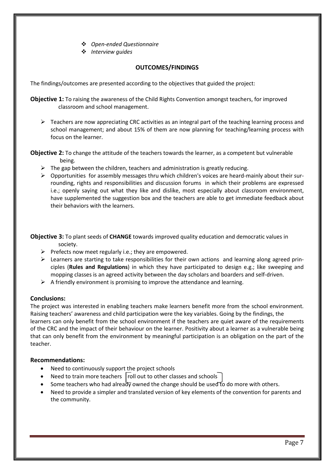- *Open-ended Questionnaire*
- *Interview guides*

## **OUTCOMES/FINDINGS**

The findings/outcomes are presented according to the objectives that guided the project:

**Objective 1:** To raising the awareness of the Child Rights Convention amongst teachers, for improved classroom and school management.

 $\triangleright$  Teachers are now appreciating CRC activities as an integral part of the teaching learning process and school management; and about 15% of them are now planning for teaching/learning process with focus on the learner.

**Objective 2:** To change the attitude of the teachers towards the learner, as a competent but vulnerable being.

- $\triangleright$  The gap between the children, teachers and administration is greatly reducing.
- $\triangleright$  Opportunities for assembly messages thru which children's voices are heard-mainly about their surrounding, rights and responsibilities and discussion forums in which their problems are expressed i.e.; openly saying out what they like and dislike, most especially about classroom environment, have supplemented the suggestion box and the teachers are able to get immediate feedback about their behaviors with the learners.

**Objective 3:** To plant seeds of **CHANGE** towards improved quality education and democratic values in society.

- $\triangleright$  Prefects now meet regularly i.e.; they are empowered.
- $\triangleright$  Learners are starting to take responsibilities for their own actions and learning along agreed principles (**Rules and Regulations**) in which they have participated to design e.g.; like sweeping and mopping classes is an agreed activity between the day scholars and boarders and self-driven.
- $\triangleright$  A friendly environment is promising to improve the attendance and learning.

## **Conclusions:**

The project was interested in enabling teachers make learners benefit more from the school environment. Raising teachers' awareness and child participation were the key variables. Going by the findings, the learners can only benefit from the school environment if the teachers are quiet aware of the requirements of the CRC and the impact of their behaviour on the learner. Positivity about a learner as a vulnerable being that can only benefit from the environment by meaningful participation is an obligation on the part of the teacher.

## **Recommendations:**

- Need to continuously support the project schools
- Need to train more teachers  $|$  roll out to other classes and schools
- Some teachers who had already owned the change should be used to do more with others.
- Need to provide a simpler and translated version of key elements of the convention for parents and the community.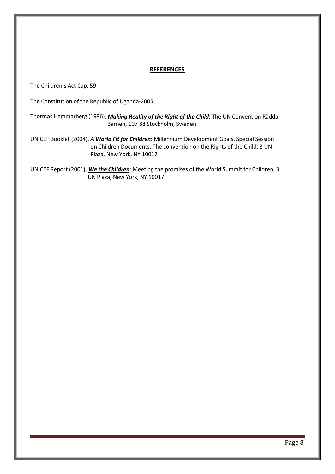## **REFERENCES**

The Children's Act Cap. 59

The Constitution of the Republic of Uganda-2005

Thormas Hammarberg (1996), *Making Reality of the Right of the Child:*  The UN Convention Rädda Barnen, 107 88 Stockholm, Sweden

UNICEF Booklet (2004), *A World Fit for Children* : Millennium Development Goals, Special Session on Children Documents, The convention on the Rights of the Child, 3 UN Plaza, New York, NY 10017

UNICEF Report (2001), *We the Children* : Meeting the promises of the World Summit for Children, 3 UN Plaza, New York, NY 10017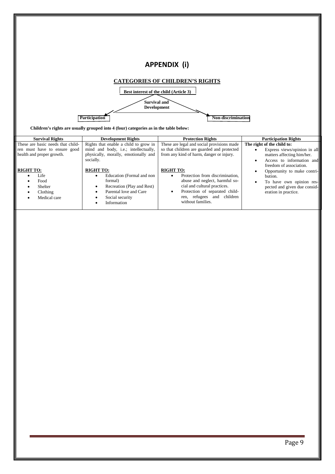|                                   |                                                                                       | <b>APPENDIX (i)</b>                        |                              |  |  |  |
|-----------------------------------|---------------------------------------------------------------------------------------|--------------------------------------------|------------------------------|--|--|--|
|                                   |                                                                                       |                                            |                              |  |  |  |
|                                   |                                                                                       | <b>CATEGORIES OF CHILDREN'S RIGHTS</b>     |                              |  |  |  |
|                                   | Best interest of the child (Article 3)                                                |                                            |                              |  |  |  |
|                                   |                                                                                       |                                            |                              |  |  |  |
|                                   | Survival and                                                                          |                                            |                              |  |  |  |
|                                   | <b>Development</b>                                                                    |                                            |                              |  |  |  |
|                                   |                                                                                       | <b>Non-discrimination</b>                  |                              |  |  |  |
|                                   | Participation                                                                         |                                            |                              |  |  |  |
|                                   | Children's rights are usually grouped into 4 (four) categories as in the table below: |                                            |                              |  |  |  |
|                                   |                                                                                       |                                            |                              |  |  |  |
| <b>Survival Rights</b>            | <b>Development Rights</b>                                                             | <b>Protection Rights</b>                   | <b>Participation Rights</b>  |  |  |  |
| These are basic needs that child- | Rights that enable a child to grow in                                                 | These are legal and social provisions made | The right of the child to:   |  |  |  |
| ren must have to ensure good      | mind and body, i.e.; intellectually,                                                  | so that children are guarded and protected | Express views/opinion in all |  |  |  |

| health and proper growth.                                               | physically, morally, emotionally and<br>socially.                                                                                                  | from any kind of harm, danger or injury.                                                                                                                                                                   | matters affecting him/her.<br>Access to information and                                                                                               |
|-------------------------------------------------------------------------|----------------------------------------------------------------------------------------------------------------------------------------------------|------------------------------------------------------------------------------------------------------------------------------------------------------------------------------------------------------------|-------------------------------------------------------------------------------------------------------------------------------------------------------|
| <b>RIGHT TO:</b><br>Life<br>Food<br>Shelter<br>Clothing<br>Medical care | <b>RIGHT TO:</b><br>Education (Formal and non<br>formal)<br>Recreation (Play and Rest)<br>Parental love and Care<br>Social security<br>Information | <b>RIGHT TO:</b><br>Protection from discrimination,<br>abuse and neglect, harmful so-<br>cial and cultural practices.<br>Protection of separated child-<br>ren, refugees and children<br>without families. | freedom of association.<br>Opportunity to make contri-<br>bution.<br>To have own opinion res-<br>pected and given due consid-<br>eration in practice. |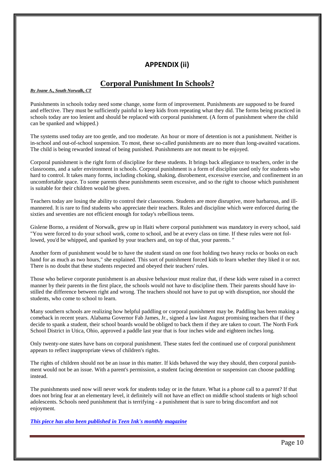# **APPENDIX (ii)**

# **Corporal Punishment In Schools?**

*By Joane A., South Norwalk, CT*

Punishments in schools today need some change, some form of improvement. Punishments are supposed to be feared and effective. They must be sufficiently painful to keep kids from repeating what they did. The forms being practiced in schools today are too lenient and should be replaced with corporal punishment. (A form of punishment where the child can be spanked and whipped.)

The systems used today are too gentle, and too moderate. An hour or more of detention is not a punishment. Neither is in-school and out-of-school suspension. To most, these so-called punishments are no more than long-awaited vacations. The child is being rewarded instead of being punished. Punishments are not meant to be enjoyed.

Corporal punishment is the right form of discipline for these students. It brings back allegiance to teachers, order in the classrooms, and a safer environment in schools. Corporal punishment is a form of discipline used only for students who hard to control. It takes many forms, including choking, shaking, disrobement, excessive exercise, and confinement in an uncomfortable space. To some parents these punishments seem excessive, and so the right to choose which punishment is suitable for their children would be given.

Teachers today are losing the ability to control their classrooms. Students are more disruptive, more barbarous, and illmannered. It is rare to find students who appreciate their teachers. Rules and discipline which were enforced during the sixties and seventies are not efficient enough for today's rebellious teens.

Gislene Borno, a resident of Norwalk, grew up in Haiti where corporal punishment was mandatory in every school, said "You were forced to do your school work, come to school, and be at every class on time. If these rules were not followed, you'd be whipped, and spanked by your teachers and, on top of that, your parents. "

Another form of punishment would be to have the student stand on one foot holding two heavy rocks or books on each hand for as much as two hours," she explained. This sort of punishment forced kids to learn whether they liked it or not. There is no doubt that these students respected and obeyed their teachers' rules.

Those who believe corporate punishment is an abusive behaviour must realize that, if these kids were raised in a correct manner by their parents in the first place, the schools would not have to discipline them. Their parents should have instilled the difference between right and wrong. The teachers should not have to put up with disruption, nor should the students, who come to school to learn.

Many southern schools are realizing how helpful paddling or corporal punishment may be. Paddling has been making a comeback in recent years. Alabama Governor Fab James, Jr., signed a law last August promising teachers that if they decide to spank a student, their school boards would be obliged to back them if they are taken to court. The North Fork School District in Utica, Ohio, approved a paddle last year that is four inches wide and eighteen inches long.

Only twenty-one states have bans on corporal punishment. These states feel the continued use of corporal punishment appears to reflect inappropriate views of children's rights.

The rights of children should not be an issue in this matter. If kids behaved the way they should, then corporal punishment would not be an issue. With a parent's permission, a student facing detention or suspension can choose paddling instead.

The punishments used now will never work for students today or in the future. What is a phone call to a parent? If that does not bring fear at an elementary level, it definitely will not have an effect on middle school students or high school adolescents. Schools need punishment that is terrifying - a punishment that is sure to bring discomfort and not enjoyment.

*[This piece has also been published in Teen Ink's monthly magazine](https://www.teenink.com/Subscribe/)*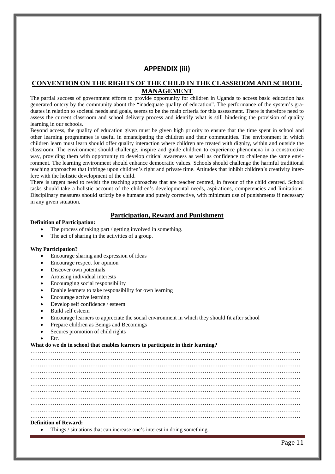# **APPENDIX (iii)**

## **CONVENTION ON THE RIGHTS OF THE CHILD IN THE CLASSROOM AND SCHOOL MANAGEMENT**

The partial success of government efforts to provide opportunity for children in Uganda to access basic education has generated outcry by the community about the "inadequate quality of education". The performance of the system's graduates in relation to societal needs and goals, seems to be the main criteria for this assessment. There is therefore need to assess the current classroom and school delivery process and identify what is still hindering the provision of quality learning in our schools.

Beyond access, the quality of education given must be given high priority to ensure that the time spent in school and other learning programmes is useful in emancipating the children and their communities. The environment in which children learn must learn should offer quality interaction where children are treated with dignity, within and outside the classroom. The environment should challenge, inspire and guide children to experience phenomena in a constructive way, providing them with opportunity to develop critical awareness as well as confidence to challenge the same environment. The learning environment should enhance democratic values. Schools should challenge the harmful traditional teaching approaches that infringe upon children's right and private time. Attitudes that inhibit children's creativity interfere with the holistic development of the child.

There is urgent need to revisit the teaching approaches that are teacher centred, in favour of the child centred. School tasks should take a holistic account of the children's developmental needs, aspirations, competencies and limitations. Disciplinary measures should strictly be e humane and purely corrective, with minimum use of punishments if necessary in any given situation.

## **Participation, Reward and Punishment**

#### **Definition of Participation:**

- The process of taking part / getting involved in something.
- The act of sharing in the activities of a group.

#### **Why Participation?**

- Encourage sharing and expression of ideas
- Encourage respect for opinion
- Discover own potentials
- Arousing individual interests
- Encouraging social responsibility
- Enable learners to take responsibility for own learning
- Encourage active learning
- Develop self confidence / esteem
- Build self esteem
- Encourage learners to appreciate the social environment in which they should fit after school
- Prepare children as Beings and Becomings
- Secures promotion of child rights
- Etc.

#### **What do we do in school that enables learners to participate in their learning?**

……………………………………………………………………………………………………………………………… ……………………………………………………………………………………………………………………………… ……………………………………………………………………………………………………………………………… ……………………………………………………………………………………………………………………………… ……………………………………………………………………………………………………………………………… ……………………………………………………………………………………………………………………………… ……………………………………………………………………………………………………………………………… ……………………………………………………………………………………………………………………………… ……………………………………………………………………………………………………………………………… ……………………………………………………………………………………………………………………………… ……………………………………………………………………………………………………………………………… **Definition of Reward:**

• Things / situations that can increase one's interest in doing something.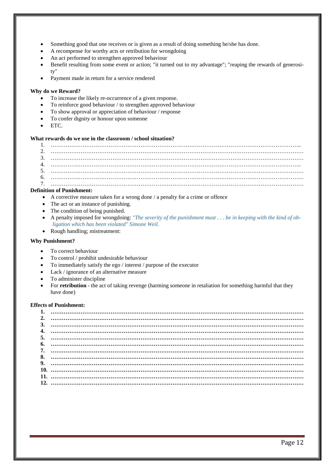- Something good that one receives or is given as a result of doing something he/she has done.
- A recompense for worthy acts or retribution for wrongdoing
- An act performed to strengthen approved behaviour
- Benefit resulting from some event or action; "it turned out to my advantage"; "reaping the rewards of generosity"
- Payment made in return for a service rendered

#### **Why do we Reward?**

- To increase the likely re-occurrence of a given response.
- To reinforce good behaviour / to strengthen approved behaviour
- To show approval or appreciation of behaviour / response
- To confer dignity or honour upon someone
- ETC.

#### **What rewards do we use in the classroom / school situation?**

#### **Definition of Punishment:**

- A corrective measure taken for a wrong done / a penalty for a crime or offence
- The act or an instance of punishing.
- The condition of being punished.
- A penalty imposed for wrongdoing: *"The severity of the punishment must . . . be in keeping with the kind of obligation which has been violated" Simone Weil.*
- Rough handling; mistreatment:

#### **Why Punishment?**

- To correct behaviour
- To control / prohibit undesirable behaviour
- To immediately satisfy the ego / interest / purpose of the executor
- Lack / ignorance of an alternative measure
- To administer discipline
- For **retribution** the act of taking revenge (harming someone in retaliation for something harmful that they have done)

#### **Effects of Punishment:**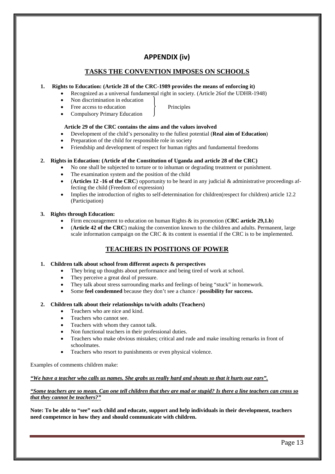# **APPENDIX (iv)**

# **TASKS THE CONVENTION IMPOSES ON SCHOOLS**

#### **1. Rights to Education: (Article 28 of the CRC-1989 provides the means of enforcing it)**

- Recognized as a universal fundamental right in society. (Article 26of the UDHR-1948)
- Non discrimination in education
- Free access to education Principles
- Compulsory Primary Education

## **Article 29 of the CRC contains the aims and the values involved**

- Development of the child's personality to the fullest potential (**Real aim of Education**)
- Preparation of the child for responsible role in society
- Friendship and development of respect for human rights and fundamental freedoms

## **2. Rights in Education: (Article of the Constitution of Uganda and article 28 of the CRC)**

- No one shall be subjected to torture or to inhuman or degrading treatment or punishment.
- The examination system and the position of the child
- **(Articles 12 -16 of the CRC)** opportunity to be heard in any judicial  $\&$  administrative proceedings affecting the child (Freedom of expression)
- Implies the introduction of rights to self-determination for children(respect for children) article 12.2 (Participation)

#### **3. Rights through Education:**

- Firm encouragement to education on human Rights & its promotion (**CRC article 29,1.b**)
- (**Article 42 of the CRC**) making the convention known to the children and adults. Permanent, large scale information campaign on the CRC  $\&$  its content is essential if the CRC is to be implemented.

# **TEACHERS IN POSITIONS OF POWER**

## **1. Children talk about school from different aspects & perspectives**

- They bring up thoughts about performance and being tired of work at school.
- They perceive a great deal of pressure.
- They talk about stress surrounding marks and feelings of being "stuck" in homework.
- Some **feel condemned** because they don't see a chance / **possibility for success.**

## **2. Children talk about their relationships to/with adults (Teachers)**

- Teachers who are nice and kind.
- Teachers who cannot see.
- Teachers with whom they cannot talk.
- Non functional teachers in their professional duties.
- Teachers who make obvious mistakes; critical and rude and make insulting remarks in front of schoolmates.
- Teachers who resort to punishments or even physical violence.

Examples of comments children make:

#### *"We have a teacher who calls us names. She grabs us really hard and shouts so that it hurts our ears".*

#### *"Some teachers are so mean. Can one tell children that they are mad or stupid? Is there a line teachers can cross so that they cannot be teachers?"*

**Note: To be able to "see" each child and educate, support and help individuals in their development, teachers need competence in how they and should communicate with children.**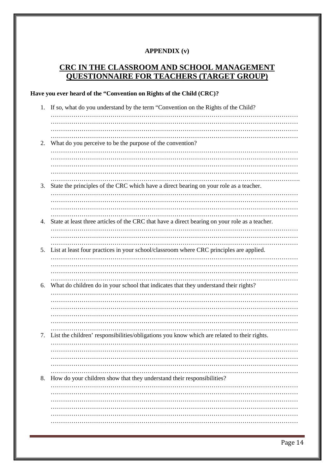# **APPENDIX (v)**

# **CRC IN THE CLASSROOM AND SCHOOL MANAGEMENT QUESTIONNAIRE FOR TEACHERS (TARGET GROUP)**

# **Have you ever heard of the "Convention on Rights of the Child (CRC)?**

| 1. | If so, what do you understand by the term "Convention on the Rights of the Child?              |
|----|------------------------------------------------------------------------------------------------|
|    |                                                                                                |
|    |                                                                                                |
|    |                                                                                                |
| 2. | What do you perceive to be the purpose of the convention?                                      |
|    |                                                                                                |
|    |                                                                                                |
|    |                                                                                                |
|    |                                                                                                |
|    |                                                                                                |
| 3. | State the principles of the CRC which have a direct bearing on your role as a teacher.         |
|    |                                                                                                |
|    |                                                                                                |
|    |                                                                                                |
| 4. | State at least three articles of the CRC that have a direct bearing on your role as a teacher. |
|    |                                                                                                |
|    |                                                                                                |
|    |                                                                                                |
| 5. | List at least four practices in your school/classroom where CRC principles are applied.        |
|    |                                                                                                |
|    |                                                                                                |
|    |                                                                                                |
| 6. | What do children do in your school that indicates that they understand their rights?           |
|    |                                                                                                |
|    |                                                                                                |
|    |                                                                                                |
|    |                                                                                                |
|    |                                                                                                |
|    |                                                                                                |
| 7. | List the children' responsibilities/obligations you know which are related to their rights.    |
|    |                                                                                                |
|    |                                                                                                |
|    |                                                                                                |
|    |                                                                                                |
| 8. | How do your children show that they understand their responsibilities?                         |
|    |                                                                                                |
|    |                                                                                                |
|    |                                                                                                |
|    |                                                                                                |
|    |                                                                                                |
|    |                                                                                                |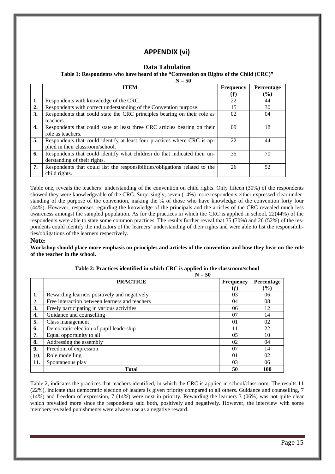# **APPENDIX (vi)**

## **Data Tabulation**

#### **Table 1: Respondents who have heard of the "Convention on Rights of the Child (CRC)"**

 $N = 50$ 

|    | <b>ITEM</b>                                                                 | <b>Frequency</b> | Percentage |
|----|-----------------------------------------------------------------------------|------------------|------------|
|    |                                                                             | (f)              | $(\%)$     |
| 1. | Respondents with knowledge of the CRC.                                      | 22               | 44         |
| 2. | Respondents with correct understanding of the Convention purpose.           | 15               | 30         |
| 3. | Respondents that could state the CRC principles bearing on their role as    | 02               | 04         |
|    | teachers.                                                                   |                  |            |
| 4. | Respondents that could state at least three CRC articles bearing on their   | 09               | 18         |
|    | role as teachers.                                                           |                  |            |
| 5. | Respondents that could identify at least four practices where CRC is ap-    | 22               | 44         |
|    | plied in their classroom/school.                                            |                  |            |
| 6. | Respondents that could identify what children do that indicated their un-   | 35               | 70         |
|    | derstanding of their rights.                                                |                  |            |
| 7. | Respondents that could list the responsibilities/obligations related to the | 26               | 52         |
|    | child rights.                                                               |                  |            |

Table one, reveals the teachers' understanding of the convention on child rights. Only fifteen (30%) of the respondents showed they were knowledgeable of the CRC. Surprisingly, seven (14%) more respondents either expressed clear understanding of the purpose of the convention, making the % of those who have knowledge of the convention forty four (44%). However, responses regarding the knowledge of the principals and the articles of the CRC revealed much less awareness amongst the sampled population. As for the practices in which the CRC is applied in school, 22(44%) of the respondents were able to state some common practices. The results further reveal that 35 (70%) and 26 (52%) of the respondents could identify the indicators of the learners' understanding of their rights and were able to list the responsibilities/obligations of the learners respectively.

#### **Note:**

**Workshop should place more emphasis on principles and articles of the convention and how they bear on the role of the teacher in the school.** 

|     | $N = 50$                                       |                  |               |
|-----|------------------------------------------------|------------------|---------------|
|     | <b>PRACTICE</b>                                | <b>Frequency</b> | Percentage    |
|     |                                                | (f)              | $\frac{9}{6}$ |
| 1.  | Rewarding learners positively and negatively   | 03               | 06            |
| 2.  | Free interaction between learners and teachers | 04               | 08            |
| 3.  | Freely participating in various activities     | 06               | 12            |
| 4.  | Guidance and counselling                       | 07               | 14            |
| 5.  | Class management                               | 01               | 02            |
| 6.  | Democratic election of pupil leadership        | 11               | 22            |
| 7.  | Equal opportunity to all                       | 05               | 10            |
| 8.  | Addressing the assembly                        | 02               | 04            |
| 9.  | Freedom of expression                          | 07               | 14            |
| 10. | Role modelling                                 | 01               | 02            |
| 11. | Spontaneous play                               | 03               | 06            |
|     | <b>Total</b>                                   | 50               | 100           |

|  | Table 2: Practices identified in which CRC is applied in the classroom/school |  |  |  |
|--|-------------------------------------------------------------------------------|--|--|--|
|  |                                                                               |  |  |  |

Table 2, indicates the practices that teachers identified, in which the CRC is applied in school/classroom. The results 11 (22%), indicate that democratic election of leaders is given priority compared to all others. Guidance and counselling, 7 (14%) and freedom of expression, 7 (14%) were next in priority. Rewarding the learners 3 (06%) was not quite clear which prevailed more since the respondents said both, positively and negatively. However, the interview with some members revealed punishments were always use as a negative reward.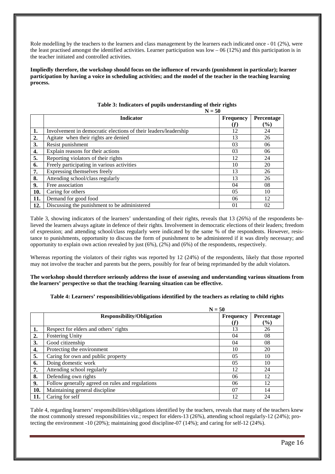Role modelling by the teachers to the learners and class management by the learners each indicated once - 01 (2%), were the least practised amongst the identified activities. Learner participation was  $low - 06 (12%)$  and this participation is in the teacher initiated and controlled activities.

**Impliedly therefore, the workshop should focus on the influence of rewards (punishment in particular); learner participation by having a voice in scheduling activities; and the model of the teacher in the teaching learning process.**

|     | $N = 50$                                                        |                  |            |  |
|-----|-----------------------------------------------------------------|------------------|------------|--|
|     | <b>Indicator</b>                                                | <b>Frequency</b> | Percentage |  |
|     |                                                                 | (f)              | $(\%)$     |  |
| 1.  | Involvement in democratic elections of their leaders/leadership | 12               | 24         |  |
| 2.  | Agitate when their rights are denied                            | 13               | 26         |  |
| 3.  | Resist punishment                                               | 03               | 06         |  |
| 4.  | Explain reasons for their actions                               | 03               | 06         |  |
| 5.  | Reporting violators of their rights                             | 12               | 24         |  |
| 6.  | Freely participating in various activities                      | 10               | 20         |  |
| 7.  | Expressing themselves freely                                    | 13               | 26         |  |
| 8.  | Attending school/class regularly                                | 13               | 26         |  |
| 9.  | Free association                                                | 04               | 08         |  |
| 10. | Caring for others                                               | 05               | 10         |  |
| 11. | Demand for good food                                            | 06               | 12         |  |
| 12. | Discussing the punishment to be administered                    | 01               | 02         |  |

**Table 3: Indicators of pupils understanding of their rights**

Table 3, showing indicators of the learners' understanding of their rights, reveals that 13 (26%) of the respondents believed the learners always agitate in defence of their rights. Involvement in democratic elections of their leaders; freedom of expression; and attending school/class regularly were indicated by the same % of the respondents. However, resistance to punishments, opportunity to discuss the form of punishment to be administered if it was direly necessary; and opportunity to explain own action revealed by just (6%), (2%) and (6%) of the respondents, respectively.

Whereas reporting the violators of their rights was reported by 12 (24%) of the respondents, likely that those reported may not involve the teacher and parents but the peers, possibly for fear of being reprimanded by the adult violators.

#### **The workshop should therefore seriously address the issue of assessing and understanding various situations from the learners' perspective so that the teaching /learning situation can be effective.**

#### **Table 4: Learners' responsibilities/obligations identified by the teachers as relating to child rights**

|     | $N = 50$                                         |                  |              |
|-----|--------------------------------------------------|------------------|--------------|
|     | <b>Responsibility/Obligation</b>                 | <b>Frequency</b> | Percentage   |
| 1.  | Respect for elders and others' rights            | (f)<br>13        | $(\%)$<br>26 |
| 2.  | <b>Fostering Unity</b>                           | 04               | 08           |
| 3.  | Good citizenship                                 | 04               | 08           |
| 4.  | Protecting the environment                       | 10               | 20           |
| 5.  | Caring for own and public property               | 0 <sub>5</sub>   | 10           |
| 6.  | Doing domestic work                              | 05               | 10           |
| 7.  | Attending school regularly                       | 12               | 24           |
| 8.  | Defending own rights                             | 06               | 12           |
| 9.  | Follow generally agreed on rules and regulations | 06               | 12           |
| 10. | Maintaining general discipline                   | 07               | 14           |
| 11. | Caring for self                                  | 12               | 24           |

Table 4, regarding learners' responsibilities/obligations identified by the teachers, reveals that many of the teachers knew the most commonly stressed responsibilities viz.; respect for elders-13 (26%), attending school regularly-12 (24%); protecting the environment -10 (20%); maintaining good discipline-07 (14%); and caring for self-12 (24%).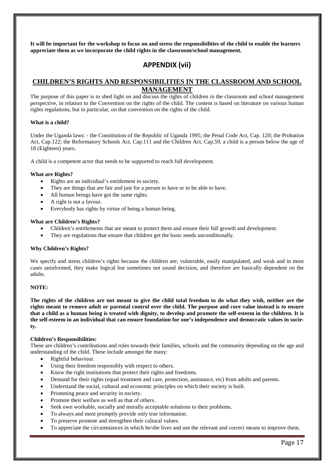**It will be important for the workshop to focus on and stress the responsibilities of the child to enable the learners appreciate them as we incorporate the child rights in the classroom/school management.**

# **APPENDIX (vii)**

## **CHILDREN'S RIGHTS AND RESPONSIBILITIES IN THE CLASSROOM AND SCHOOL MANAGEMENT**

The purpose of this paper is to shed light on and discuss the rights of children in the classroom and school management perspective, in relation to the Convention on the rights of the child. The content is based on literature on various human rights regulations, but in particular, on that convention on the rights of the child.

#### **What is a child?**

Under the Uganda laws: - the Constitution of the Republic of Uganda 1995; the Penal Code Act, Cap. 120; the Probation Act, Cap.122; the Reformatory Schools Act, Cap.111 and the Children Act, Cap.59, a child is a person below the age of 18 (Eighteen) years.

A child is a competent actor that needs to be supported to reach full development.

#### **What are Rights?**

- Rights are an individual's entitlement in society.
- They are things that are fair and just for a person to have or to be able to have.
- All human beings have got the same rights.
- A right is not a favour.
- Everybody has rights by virtue of being a human being.

#### **What are Children's Rights?**

- Children's entitlements that are meant to protect them and ensure their full growth and development.
- They are regulations that ensure that children get the basic needs unconditionally.

#### **Why Children's Rights?**

We specify and stress children's rights because the children are; vulnerable, easily manipulated, and weak and in most cases uninformed, they make logical but sometimes not sound decision, and therefore are basically dependent on the adults.

#### **NOTE:**

**The rights of the children are not meant to give the child total freedom to do what they wish, neither are the rights meant to remove adult or parental control over the child. The purpose and core value instead is to ensure that a child as a human being is treated with dignity, to develop and promote the self-esteem in the children. It is the self-esteem in an individual that can ensure foundation for one's independence and democratic values in society.**

#### **Children's Responsibilities:**

These are children's contributions and roles towards their families, schools and the community depending on the age and understanding of the child. These include amongst the many:

- Rightful behaviour.
- Using their freedom responsibly with respect to others.
- Know the right institutions that protect their rights and freedoms.
- Demand for their rights (equal treatment and care, protection, assistance, etc) from adults and parents.
- Understand the social, cultural and economic principles on which their society is built.
- Promoting peace and security in society.
- Promote their welfare as well as that of others.
- Seek own workable, socially and morally acceptable solutions to their problems.
- To always and most promptly provide only true information.
- To preserve promote and strengthen their cultural values.
- To appreciate the circumstances in which he/she lives and use the relevant and correct means to improve them.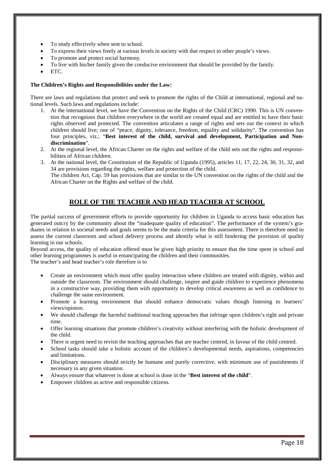- To study effectively when sent to school.
- To express their views freely at various levels in society with due respect to other people's views.
- To promote and protect social harmony.
- To live with his/her family given the conducive environment that should be provided by the family.
- ETC.

#### **The Children's Rights and Responsibilities under the Law:**

There are laws and regulations that protect and seek to promote the rights of the Child at international, regional and national levels. Such laws and regulations include:

- 1. At the international level, we have the Convention on the Rights of the Child (CRC) 1990. This is UN convention that recognizes that children everywhere in the world are created equal and are entitled to have their basic rights observed and protected. The convention articulates a range of rights and sets out the context in which children should live; one of "peace, dignity, tolerance, freedom, equality and solidarity". The convention has four principles, viz.; "**Best interest of the child, survival and development, Participation and Nondiscrimination**".
- 2. At the regional level, the African Charter on the rights and welfare of the child sets out the rights and responsibilities of African children.
- 3. At the national level, the Constitution of the Republic of Uganda (1995), articles 11, 17, 22, 24, 30, 31, 32, and 34 are provisions regarding the rights, welfare and protection of the child. The children Act, Cap. 59 has provisions that are similar to the UN convention on the rights of the child and the African Charter on the Rights and welfare of the child.

# **ROLE OF THE TEACHER AND HEAD TEACHER AT SCHOOL**

The partial success of government efforts to provide opportunity for children in Uganda to access basic education has generated outcry by the community about the "inadequate quality of education". The performance of the system's graduates in relation to societal needs and goals seems to be the main criteria for this assessment. There is therefore need to assess the current classroom and school delivery process and identify what is still hindering the provision of quality learning in our schools.

Beyond access, the quality of education offered must be given high priority to ensure that the time spent in school and other learning programmes is useful in emancipating the children and their communities.

The teacher's and head teacher's role therefore is to

- Create an environment which must offer quality interaction where children are treated with dignity, within and outside the classroom. The environment should challenge, inspire and guide children to experience phenomena in a constructive way, providing them with opportunity to develop critical awareness as well as confidence to challenge the same environment.
- Promote a learning environment that should enhance democratic values though listening to learners' views/opinion.
- We should challenge the harmful traditional teaching approaches that infringe upon children's right and private time.
- Offer learning situations that promote children's creativity without interfering with the holistic development of the child.
- There is urgent need to revisit the teaching approaches that are teacher centred, in favour of the child centred.
- School tasks should take a holistic account of the children's developmental needs, aspirations, competencies and limitations.
- Disciplinary measures should strictly be humane and purely corrective, with minimum use of punishments if necessary in any given situation.
- Always ensure that whatever is done at school is done in the "**Best interest of the child**".
- Empower children as active and responsible citizens.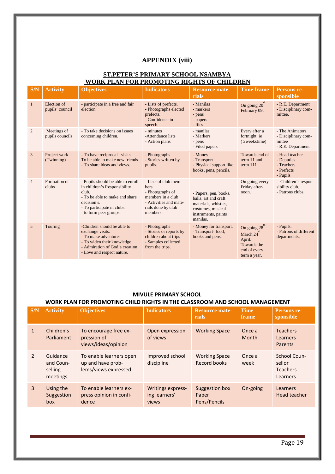# **APPENDIX (viii)**

## **ST.PETER'S PRIMARY SCHOOL NSAMBYA WORK PLAN FOR PROMOTING RIGHTS OF CHILDREN**

| S/N            | <b>Activity</b>                | <b>Objectives</b>                                                                                                                                                                   | <b>Indicators</b>                                                                                                                 | <b>Resource mate-</b><br>rials                                                                                                | <b>Time frame</b>                                                                              | Persons re-<br>sponsible                                              |
|----------------|--------------------------------|-------------------------------------------------------------------------------------------------------------------------------------------------------------------------------------|-----------------------------------------------------------------------------------------------------------------------------------|-------------------------------------------------------------------------------------------------------------------------------|------------------------------------------------------------------------------------------------|-----------------------------------------------------------------------|
| 1              | Election of<br>pupils' council | - participate in a free and fair<br>election                                                                                                                                        | - Lists of prefects.<br>- Photographs elected<br>prefects.<br>- Confidence in<br>speech.                                          | - Manilas<br>- markers<br>- pens<br>- papers<br>- files                                                                       | On going $20^{th}$<br>February 09.                                                             | - R.E. Department<br>- Disciplinary com-<br>mittee.                   |
| $\overline{2}$ | Meetings of<br>pupils councils | - To take decisions on issues<br>concerning children.                                                                                                                               | - minutes<br>-Attendance lists<br>- Action plans                                                                                  | - manilas<br>- Markers<br>- pens<br>- Filed papers                                                                            | Every after a<br>fortnight ie<br>(2weekstime)                                                  | - The Animators<br>- Disciplinary com-<br>mittee<br>- R.E. Department |
| 3              | Project work<br>(Twinning)     | - To have reciprocal visits.<br>To be able to make new friends<br>- To share ideas and views.                                                                                       | - Photographs<br>- Stories written by<br>pupils.                                                                                  | - Money<br>- Transport<br>- Physical support like<br>books, pens, pencils.                                                    | Towards end of<br>term 11 and<br>term $111$                                                    | - Head teacher<br>- Deputies<br>- Teachers<br>- Prefects<br>- Pupils  |
| $\overline{4}$ | Formation of<br>clubs          | - Pupils should be able to enroll<br>in children's Responsibility<br>club.<br>- To be able to make and share<br>decision s.<br>- To participate in clubs.<br>- to form peer groups. | - Lists of club mem-<br>bers<br>- Photographs of<br>members in a club<br>- Activities and mate-<br>rials done by club<br>members. | - Papers, pen, books,<br>balls, art and craft<br>materials, whistles,<br>costumes, musical<br>instruments, paints<br>manilas. | On going every<br>Friday after-<br>noon.                                                       | - Children's respon-<br>sibility club.<br>- Patrons clubs.            |
| 5              | Touring                        | -Children should be able to<br>exchange visits.<br>- To make adventures<br>- To widen their knowledge.<br>- Admiration of God's creation<br>- Love and respect nature.              | - Photographs<br>- Stories or reports by<br>children about trips<br>- Samples collected<br>from the trips.                        | - Money for transport,<br>- Transport-food,<br>books and pens.                                                                | On going 28 <sup>th</sup><br>March 24<br>April.<br>Towards the<br>end of every<br>term a year. | - Pupils.<br>- Patrons of different<br>departments.                   |

## **MIVULE PRIMARY SCHOOL**

# **WORK PLAN FOR PROMOTING CHILD RIGHTS IN THE CLASSROOM AND SCHOOL MANAGEMENT**

| S/N            | <b>Activity</b>                              | <b>Objectives</b>                                                    | <b>Indicators</b>                           | <b>Resource mate-</b><br>rials          | <b>Time</b><br>frame | Persons re-<br>sponsible                              |
|----------------|----------------------------------------------|----------------------------------------------------------------------|---------------------------------------------|-----------------------------------------|----------------------|-------------------------------------------------------|
| $\mathbf{1}$   | Children's<br>Parliament                     | To encourage free ex-<br>pression of<br>views/ideas/opinion          | Open expression<br>of views                 | <b>Working Space</b>                    | Once a<br>Month      | <b>Teachers</b><br>Learners<br>Parents                |
| $\overline{2}$ | Guidance<br>and Coun-<br>selling<br>meetings | To enable learners open<br>up and have prob-<br>lems/views expressed | Improved school<br>discipline               | <b>Working Space</b><br>Record books    | Once a<br>week       | School Coun-<br>sellor<br><b>Teachers</b><br>Learners |
| $\overline{3}$ | Using the<br>Suggestion<br>box               | To enable learners ex-<br>press opinion in confi-<br>dence           | Writings express-<br>ing learners'<br>views | Suggestion box<br>Paper<br>Pens/Pencils | On-going             | Learners<br>Head teacher                              |